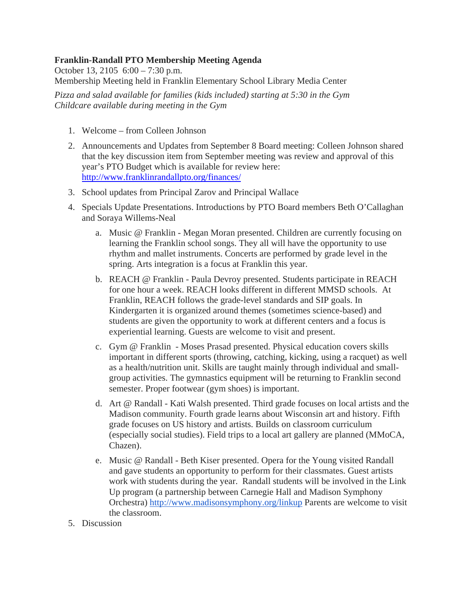## **Franklin-Randall PTO Membership Meeting Agenda**

October 13, 2105 6:00 – 7:30 p.m. Membership Meeting held in Franklin Elementary School Library Media Center

*Pizza and salad available for families (kids included) starting at 5:30 in the Gym Childcare available during meeting in the Gym*

- 1. Welcome from Colleen Johnson
- 2. Announcements and Updates from September 8 Board meeting: Colleen Johnson shared that the key discussion item from September meeting was review and approval of this year's PTO Budget which is available for review here: http://www.franklinrandallpto.org/finances/
- 3. School updates from Principal Zarov and Principal Wallace
- 4. Specials Update Presentations. Introductions by PTO Board members Beth O'Callaghan and Soraya Willems-Neal
	- a. Music @ Franklin Megan Moran presented. Children are currently focusing on learning the Franklin school songs. They all will have the opportunity to use rhythm and mallet instruments. Concerts are performed by grade level in the spring. Arts integration is a focus at Franklin this year.
	- b. REACH @ Franklin Paula Devroy presented. Students participate in REACH for one hour a week. REACH looks different in different MMSD schools. At Franklin, REACH follows the grade-level standards and SIP goals. In Kindergarten it is organized around themes (sometimes science-based) and students are given the opportunity to work at different centers and a focus is experiential learning. Guests are welcome to visit and present.
	- c. Gym @ Franklin Moses Prasad presented. Physical education covers skills important in different sports (throwing, catching, kicking, using a racquet) as well as a health/nutrition unit. Skills are taught mainly through individual and smallgroup activities. The gymnastics equipment will be returning to Franklin second semester. Proper footwear (gym shoes) is important.
	- d. Art @ Randall Kati Walsh presented. Third grade focuses on local artists and the Madison community. Fourth grade learns about Wisconsin art and history. Fifth grade focuses on US history and artists. Builds on classroom curriculum (especially social studies). Field trips to a local art gallery are planned (MMoCA, Chazen).
	- e. Music @ Randall Beth Kiser presented. Opera for the Young visited Randall and gave students an opportunity to perform for their classmates. Guest artists work with students during the year. Randall students will be involved in the Link Up program (a partnership between Carnegie Hall and Madison Symphony Orchestra) http://www.madisonsymphony.org/linkup Parents are welcome to visit the classroom.
- 5. Discussion